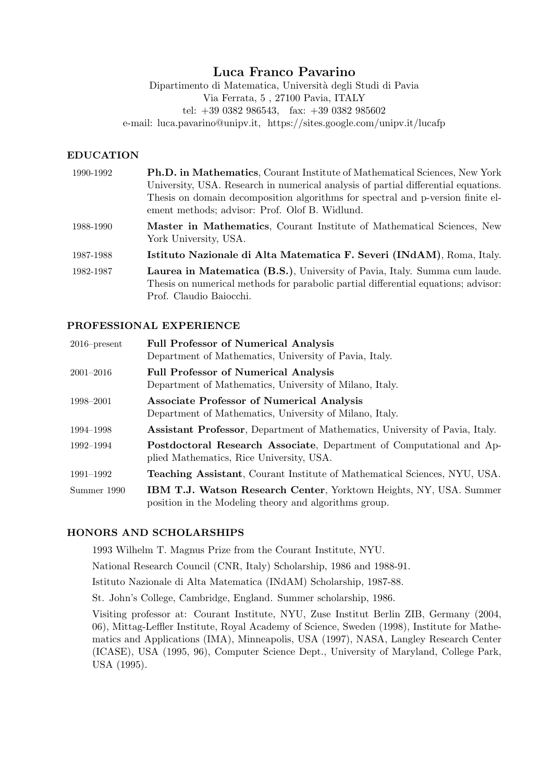# Luca Franco Pavarino

Dipartimento di Matematica, Universit`a degli Studi di Pavia Via Ferrata, 5 , 27100 Pavia, ITALY tel: +39 0382 986543, fax: +39 0382 985602 e-mail: luca.pavarino@unipv.it, https://sites.google.com/unipv.it/lucafp

#### EDUCATION

| 1990-1992 | <b>Ph.D. in Mathematics, Courant Institute of Mathematical Sciences, New York</b><br>University, USA. Research in numerical analysis of partial differential equations.<br>Thesis on domain decomposition algorithms for spectral and p-version finite el-<br>ement methods; advisor: Prof. Olof B. Widlund. |
|-----------|--------------------------------------------------------------------------------------------------------------------------------------------------------------------------------------------------------------------------------------------------------------------------------------------------------------|
| 1988-1990 | Master in Mathematics, Courant Institute of Mathematical Sciences, New<br>York University, USA.                                                                                                                                                                                                              |
| 1987-1988 | Istituto Nazionale di Alta Matematica F. Severi (INdAM), Roma, Italy.                                                                                                                                                                                                                                        |
| 1982-1987 | Laurea in Matematica (B.S.), University of Pavia, Italy. Summa cum laude.<br>Thesis on numerical methods for parabolic partial differential equations; advisor:<br>Prof. Claudio Baiocchi.                                                                                                                   |

### PROFESSIONAL EXPERIENCE

| $2016$ -present | <b>Full Professor of Numerical Analysis</b><br>Department of Mathematics, University of Pavia, Italy.                              |
|-----------------|------------------------------------------------------------------------------------------------------------------------------------|
| $2001 - 2016$   | <b>Full Professor of Numerical Analysis</b><br>Department of Mathematics, University of Milano, Italy.                             |
| 1998–2001       | <b>Associate Professor of Numerical Analysis</b><br>Department of Mathematics, University of Milano, Italy.                        |
| 1994–1998       | <b>Assistant Professor, Department of Mathematics, University of Pavia, Italy.</b>                                                 |
| 1992–1994       | <b>Postdoctoral Research Associate, Department of Computational and Ap-</b><br>plied Mathematics, Rice University, USA.            |
| 1991–1992       | <b>Teaching Assistant, Courant Institute of Mathematical Sciences, NYU, USA.</b>                                                   |
| Summer 1990     | <b>IBM T.J. Watson Research Center, Yorktown Heights, NY, USA. Summer</b><br>position in the Modeling theory and algorithms group. |

## HONORS AND SCHOLARSHIPS

1993 Wilhelm T. Magnus Prize from the Courant Institute, NYU.

National Research Council (CNR, Italy) Scholarship, 1986 and 1988-91.

Istituto Nazionale di Alta Matematica (INdAM) Scholarship, 1987-88.

St. John's College, Cambridge, England. Summer scholarship, 1986.

Visiting professor at: Courant Institute, NYU, Zuse Institut Berlin ZIB, Germany (2004, 06), Mittag-Leffler Institute, Royal Academy of Science, Sweden (1998), Institute for Mathematics and Applications (IMA), Minneapolis, USA (1997), NASA, Langley Research Center (ICASE), USA (1995, 96), Computer Science Dept., University of Maryland, College Park, USA (1995).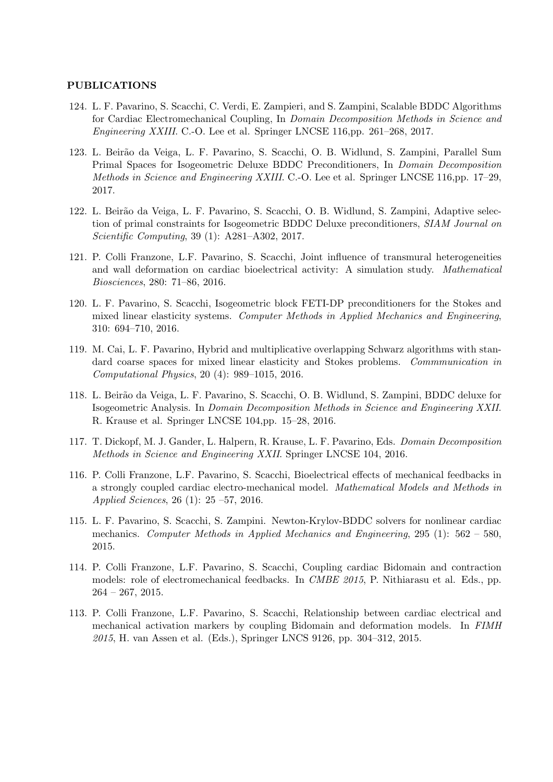#### PUBLICATIONS

- 124. L. F. Pavarino, S. Scacchi, C. Verdi, E. Zampieri, and S. Zampini, Scalable BDDC Algorithms for Cardiac Electromechanical Coupling, In Domain Decomposition Methods in Science and Engineering XXIII. C.-O. Lee et al. Springer LNCSE 116,pp. 261–268, 2017.
- 123. L. Beirão da Veiga, L. F. Pavarino, S. Scacchi, O. B. Widlund, S. Zampini, Parallel Sum Primal Spaces for Isogeometric Deluxe BDDC Preconditioners, In Domain Decomposition Methods in Science and Engineering XXIII. C.-O. Lee et al. Springer LNCSE 116,pp. 17–29, 2017.
- 122. L. Beirão da Veiga, L. F. Pavarino, S. Scacchi, O. B. Widlund, S. Zampini, Adaptive selection of primal constraints for Isogeometric BDDC Deluxe preconditioners, SIAM Journal on Scientific Computing, 39 (1): A281–A302, 2017.
- 121. P. Colli Franzone, L.F. Pavarino, S. Scacchi, Joint influence of transmural heterogeneities and wall deformation on cardiac bioelectrical activity: A simulation study. Mathematical Biosciences, 280: 71–86, 2016.
- 120. L. F. Pavarino, S. Scacchi, Isogeometric block FETI-DP preconditioners for the Stokes and mixed linear elasticity systems. Computer Methods in Applied Mechanics and Engineering, 310: 694–710, 2016.
- 119. M. Cai, L. F. Pavarino, Hybrid and multiplicative overlapping Schwarz algorithms with standard coarse spaces for mixed linear elasticity and Stokes problems. Commmunication in Computational Physics, 20 (4): 989–1015, 2016.
- 118. L. Beir˜ao da Veiga, L. F. Pavarino, S. Scacchi, O. B. Widlund, S. Zampini, BDDC deluxe for Isogeometric Analysis. In Domain Decomposition Methods in Science and Engineering XXII. R. Krause et al. Springer LNCSE 104,pp. 15–28, 2016.
- 117. T. Dickopf, M. J. Gander, L. Halpern, R. Krause, L. F. Pavarino, Eds. Domain Decomposition Methods in Science and Engineering XXII. Springer LNCSE 104, 2016.
- 116. P. Colli Franzone, L.F. Pavarino, S. Scacchi, Bioelectrical effects of mechanical feedbacks in a strongly coupled cardiac electro-mechanical model. Mathematical Models and Methods in Applied Sciences, 26 (1): 25 –57, 2016.
- 115. L. F. Pavarino, S. Scacchi, S. Zampini. Newton-Krylov-BDDC solvers for nonlinear cardiac mechanics. Computer Methods in Applied Mechanics and Engineering, 295 (1): 562 – 580, 2015.
- 114. P. Colli Franzone, L.F. Pavarino, S. Scacchi, Coupling cardiac Bidomain and contraction models: role of electromechanical feedbacks. In CMBE 2015, P. Nithiarasu et al. Eds., pp. 264 – 267, 2015.
- 113. P. Colli Franzone, L.F. Pavarino, S. Scacchi, Relationship between cardiac electrical and mechanical activation markers by coupling Bidomain and deformation models. In FIMH 2015, H. van Assen et al. (Eds.), Springer LNCS 9126, pp. 304–312, 2015.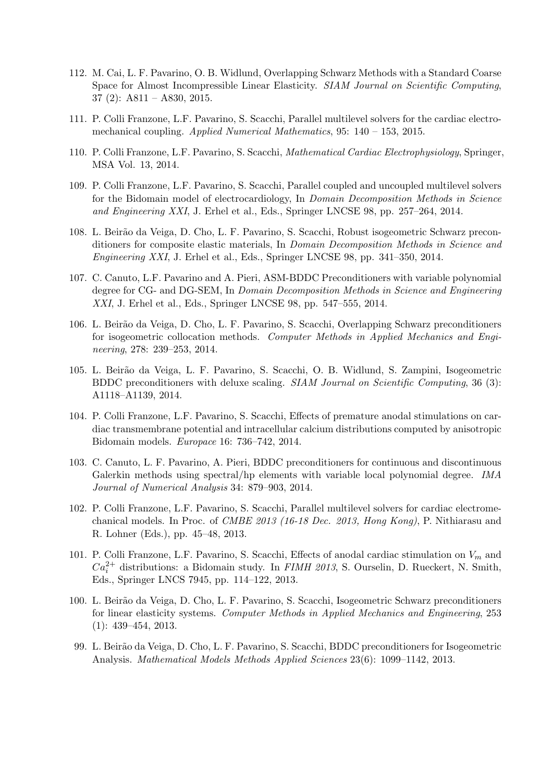- 112. M. Cai, L. F. Pavarino, O. B. Widlund, Overlapping Schwarz Methods with a Standard Coarse Space for Almost Incompressible Linear Elasticity. SIAM Journal on Scientific Computing, 37 (2): A811 – A830, 2015.
- 111. P. Colli Franzone, L.F. Pavarino, S. Scacchi, Parallel multilevel solvers for the cardiac electromechanical coupling. Applied Numerical Mathematics, 95: 140 – 153, 2015.
- 110. P. Colli Franzone, L.F. Pavarino, S. Scacchi, Mathematical Cardiac Electrophysiology, Springer, MSA Vol. 13, 2014.
- 109. P. Colli Franzone, L.F. Pavarino, S. Scacchi, Parallel coupled and uncoupled multilevel solvers for the Bidomain model of electrocardiology, In *Domain Decomposition Methods in Science* and Engineering XXI, J. Erhel et al., Eds., Springer LNCSE 98, pp. 257–264, 2014.
- 108. L. Beir˜ao da Veiga, D. Cho, L. F. Pavarino, S. Scacchi, Robust isogeometric Schwarz preconditioners for composite elastic materials, In Domain Decomposition Methods in Science and Engineering XXI, J. Erhel et al., Eds., Springer LNCSE 98, pp. 341–350, 2014.
- 107. C. Canuto, L.F. Pavarino and A. Pieri, ASM-BDDC Preconditioners with variable polynomial degree for CG- and DG-SEM, In Domain Decomposition Methods in Science and Engineering XXI, J. Erhel et al., Eds., Springer LNCSE 98, pp. 547–555, 2014.
- 106. L. Beir˜ao da Veiga, D. Cho, L. F. Pavarino, S. Scacchi, Overlapping Schwarz preconditioners for isogeometric collocation methods. Computer Methods in Applied Mechanics and Engineering, 278: 239–253, 2014.
- 105. L. Beirão da Veiga, L. F. Pavarino, S. Scacchi, O. B. Widlund, S. Zampini, Isogeometric BDDC preconditioners with deluxe scaling. SIAM Journal on Scientific Computing, 36 (3): A1118–A1139, 2014.
- 104. P. Colli Franzone, L.F. Pavarino, S. Scacchi, Effects of premature anodal stimulations on cardiac transmembrane potential and intracellular calcium distributions computed by anisotropic Bidomain models. Europace 16: 736–742, 2014.
- 103. C. Canuto, L. F. Pavarino, A. Pieri, BDDC preconditioners for continuous and discontinuous Galerkin methods using spectral/hp elements with variable local polynomial degree. IMA Journal of Numerical Analysis 34: 879–903, 2014.
- 102. P. Colli Franzone, L.F. Pavarino, S. Scacchi, Parallel multilevel solvers for cardiac electromechanical models. In Proc. of CMBE 2013 (16-18 Dec. 2013, Hong Kong), P. Nithiarasu and R. Lohner (Eds.), pp. 45–48, 2013.
- 101. P. Colli Franzone, L.F. Pavarino, S. Scacchi, Effects of anodal cardiac stimulation on  $V_m$  and  $Ca_i^{2+}$  distributions: a Bidomain study. In *FIMH 2013*, S. Ourselin, D. Rueckert, N. Smith, Eds., Springer LNCS 7945, pp. 114–122, 2013.
- 100. L. Beir˜ao da Veiga, D. Cho, L. F. Pavarino, S. Scacchi, Isogeometric Schwarz preconditioners for linear elasticity systems. Computer Methods in Applied Mechanics and Engineering, 253 (1): 439–454, 2013.
- 99. L. Beir˜ao da Veiga, D. Cho, L. F. Pavarino, S. Scacchi, BDDC preconditioners for Isogeometric Analysis. Mathematical Models Methods Applied Sciences 23(6): 1099–1142, 2013.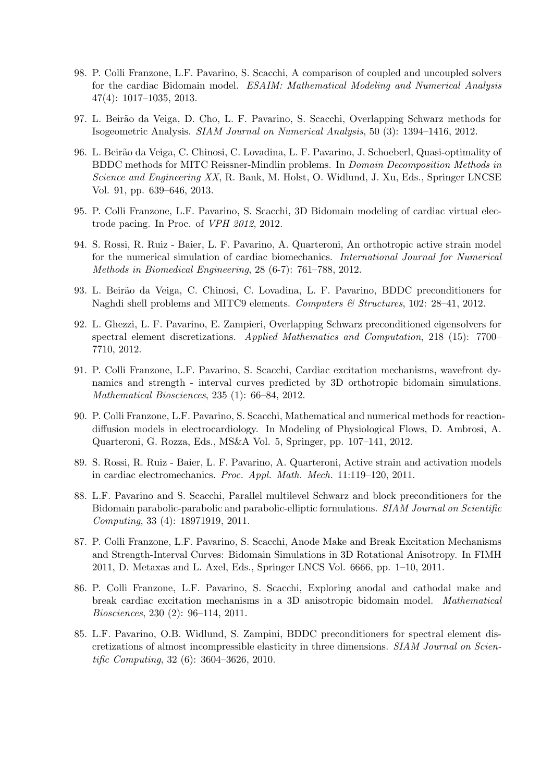- 98. P. Colli Franzone, L.F. Pavarino, S. Scacchi, A comparison of coupled and uncoupled solvers for the cardiac Bidomain model. ESAIM: Mathematical Modeling and Numerical Analysis 47(4): 1017–1035, 2013.
- 97. L. Beir˜ao da Veiga, D. Cho, L. F. Pavarino, S. Scacchi, Overlapping Schwarz methods for Isogeometric Analysis. SIAM Journal on Numerical Analysis, 50 (3): 1394–1416, 2012.
- 96. L. Beir˜ao da Veiga, C. Chinosi, C. Lovadina, L. F. Pavarino, J. Schoeberl, Quasi-optimality of BDDC methods for MITC Reissner-Mindlin problems. In Domain Decomposition Methods in Science and Engineering XX, R. Bank, M. Holst, O. Widlund, J. Xu, Eds., Springer LNCSE Vol. 91, pp. 639–646, 2013.
- 95. P. Colli Franzone, L.F. Pavarino, S. Scacchi, 3D Bidomain modeling of cardiac virtual electrode pacing. In Proc. of VPH 2012, 2012.
- 94. S. Rossi, R. Ruiz Baier, L. F. Pavarino, A. Quarteroni, An orthotropic active strain model for the numerical simulation of cardiac biomechanics. International Journal for Numerical Methods in Biomedical Engineering, 28 (6-7): 761–788, 2012.
- 93. L. Beirão da Veiga, C. Chinosi, C. Lovadina, L. F. Pavarino, BDDC preconditioners for Naghdi shell problems and MITC9 elements. Computers & Structures, 102: 28-41, 2012.
- 92. L. Ghezzi, L. F. Pavarino, E. Zampieri, Overlapping Schwarz preconditioned eigensolvers for spectral element discretizations. Applied Mathematics and Computation, 218 (15): 7700– 7710, 2012.
- 91. P. Colli Franzone, L.F. Pavarino, S. Scacchi, Cardiac excitation mechanisms, wavefront dynamics and strength - interval curves predicted by 3D orthotropic bidomain simulations. Mathematical Biosciences, 235 (1): 66–84, 2012.
- 90. P. Colli Franzone, L.F. Pavarino, S. Scacchi, Mathematical and numerical methods for reactiondiffusion models in electrocardiology. In Modeling of Physiological Flows, D. Ambrosi, A. Quarteroni, G. Rozza, Eds., MS&A Vol. 5, Springer, pp. 107–141, 2012.
- 89. S. Rossi, R. Ruiz Baier, L. F. Pavarino, A. Quarteroni, Active strain and activation models in cardiac electromechanics. Proc. Appl. Math. Mech. 11:119–120, 2011.
- 88. L.F. Pavarino and S. Scacchi, Parallel multilevel Schwarz and block preconditioners for the Bidomain parabolic-parabolic and parabolic-elliptic formulations. SIAM Journal on Scientific Computing, 33 (4): 18971919, 2011.
- 87. P. Colli Franzone, L.F. Pavarino, S. Scacchi, Anode Make and Break Excitation Mechanisms and Strength-Interval Curves: Bidomain Simulations in 3D Rotational Anisotropy. In FIMH 2011, D. Metaxas and L. Axel, Eds., Springer LNCS Vol. 6666, pp. 1–10, 2011.
- 86. P. Colli Franzone, L.F. Pavarino, S. Scacchi, Exploring anodal and cathodal make and break cardiac excitation mechanisms in a 3D anisotropic bidomain model. Mathematical Biosciences, 230 (2): 96–114, 2011.
- 85. L.F. Pavarino, O.B. Widlund, S. Zampini, BDDC preconditioners for spectral element discretizations of almost incompressible elasticity in three dimensions. SIAM Journal on Scientific Computing, 32 (6): 3604–3626, 2010.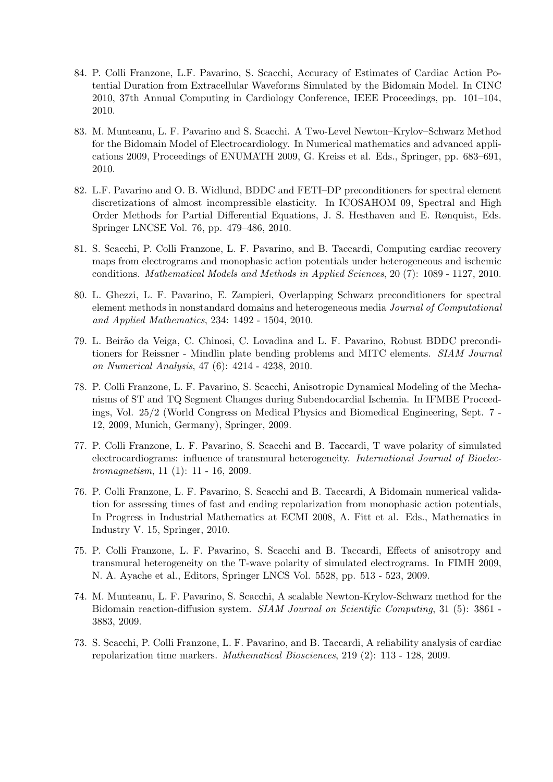- 84. P. Colli Franzone, L.F. Pavarino, S. Scacchi, Accuracy of Estimates of Cardiac Action Potential Duration from Extracellular Waveforms Simulated by the Bidomain Model. In CINC 2010, 37th Annual Computing in Cardiology Conference, IEEE Proceedings, pp. 101–104, 2010.
- 83. M. Munteanu, L. F. Pavarino and S. Scacchi. A Two-Level Newton–Krylov–Schwarz Method for the Bidomain Model of Electrocardiology. In Numerical mathematics and advanced applications 2009, Proceedings of ENUMATH 2009, G. Kreiss et al. Eds., Springer, pp. 683–691, 2010.
- 82. L.F. Pavarino and O. B. Widlund, BDDC and FETI–DP preconditioners for spectral element discretizations of almost incompressible elasticity. In ICOSAHOM 09, Spectral and High Order Methods for Partial Differential Equations, J. S. Hesthaven and E. Rønquist, Eds. Springer LNCSE Vol. 76, pp. 479–486, 2010.
- 81. S. Scacchi, P. Colli Franzone, L. F. Pavarino, and B. Taccardi, Computing cardiac recovery maps from electrograms and monophasic action potentials under heterogeneous and ischemic conditions. Mathematical Models and Methods in Applied Sciences, 20 (7): 1089 - 1127, 2010.
- 80. L. Ghezzi, L. F. Pavarino, E. Zampieri, Overlapping Schwarz preconditioners for spectral element methods in nonstandard domains and heterogeneous media Journal of Computational and Applied Mathematics, 234: 1492 - 1504, 2010.
- 79. L. Beir˜ao da Veiga, C. Chinosi, C. Lovadina and L. F. Pavarino, Robust BDDC preconditioners for Reissner - Mindlin plate bending problems and MITC elements. SIAM Journal on Numerical Analysis, 47 (6): 4214 - 4238, 2010.
- 78. P. Colli Franzone, L. F. Pavarino, S. Scacchi, Anisotropic Dynamical Modeling of the Mechanisms of ST and TQ Segment Changes during Subendocardial Ischemia. In IFMBE Proceedings, Vol. 25/2 (World Congress on Medical Physics and Biomedical Engineering, Sept. 7 - 12, 2009, Munich, Germany), Springer, 2009.
- 77. P. Colli Franzone, L. F. Pavarino, S. Scacchi and B. Taccardi, T wave polarity of simulated electrocardiograms: influence of transmural heterogeneity. International Journal of Bioelectromagnetism, 11 (1): 11 - 16, 2009.
- 76. P. Colli Franzone, L. F. Pavarino, S. Scacchi and B. Taccardi, A Bidomain numerical validation for assessing times of fast and ending repolarization from monophasic action potentials, In Progress in Industrial Mathematics at ECMI 2008, A. Fitt et al. Eds., Mathematics in Industry V. 15, Springer, 2010.
- 75. P. Colli Franzone, L. F. Pavarino, S. Scacchi and B. Taccardi, Effects of anisotropy and transmural heterogeneity on the T-wave polarity of simulated electrograms. In FIMH 2009, N. A. Ayache et al., Editors, Springer LNCS Vol. 5528, pp. 513 - 523, 2009.
- 74. M. Munteanu, L. F. Pavarino, S. Scacchi, A scalable Newton-Krylov-Schwarz method for the Bidomain reaction-diffusion system. SIAM Journal on Scientific Computing, 31 (5): 3861 -3883, 2009.
- 73. S. Scacchi, P. Colli Franzone, L. F. Pavarino, and B. Taccardi, A reliability analysis of cardiac repolarization time markers. Mathematical Biosciences, 219 (2): 113 - 128, 2009.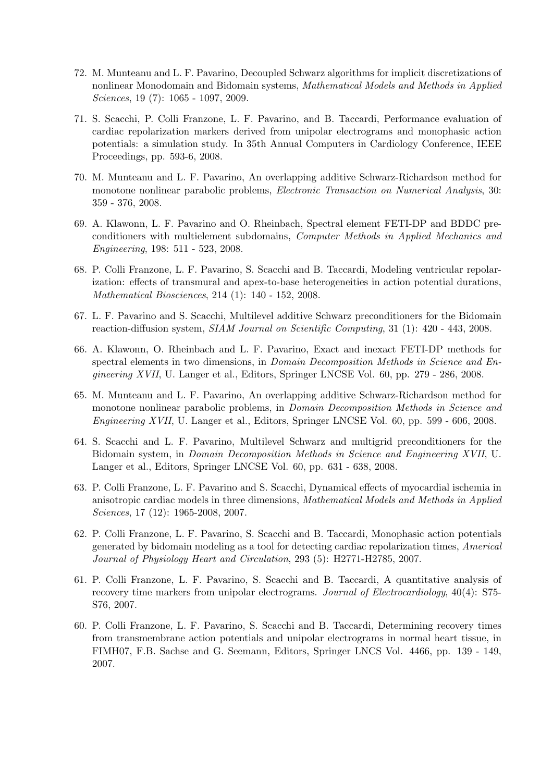- 72. M. Munteanu and L. F. Pavarino, Decoupled Schwarz algorithms for implicit discretizations of nonlinear Monodomain and Bidomain systems, Mathematical Models and Methods in Applied Sciences, 19 (7): 1065 - 1097, 2009.
- 71. S. Scacchi, P. Colli Franzone, L. F. Pavarino, and B. Taccardi, Performance evaluation of cardiac repolarization markers derived from unipolar electrograms and monophasic action potentials: a simulation study. In 35th Annual Computers in Cardiology Conference, IEEE Proceedings, pp. 593-6, 2008.
- 70. M. Munteanu and L. F. Pavarino, An overlapping additive Schwarz-Richardson method for monotone nonlinear parabolic problems, Electronic Transaction on Numerical Analysis, 30: 359 - 376, 2008.
- 69. A. Klawonn, L. F. Pavarino and O. Rheinbach, Spectral element FETI-DP and BDDC preconditioners with multielement subdomains, Computer Methods in Applied Mechanics and Engineering, 198: 511 - 523, 2008.
- 68. P. Colli Franzone, L. F. Pavarino, S. Scacchi and B. Taccardi, Modeling ventricular repolarization: effects of transmural and apex-to-base heterogeneities in action potential durations, Mathematical Biosciences, 214 (1): 140 - 152, 2008.
- 67. L. F. Pavarino and S. Scacchi, Multilevel additive Schwarz preconditioners for the Bidomain reaction-diffusion system, SIAM Journal on Scientific Computing, 31 (1): 420 - 443, 2008.
- 66. A. Klawonn, O. Rheinbach and L. F. Pavarino, Exact and inexact FETI-DP methods for spectral elements in two dimensions, in *Domain Decomposition Methods in Science and En*gineering XVII, U. Langer et al., Editors, Springer LNCSE Vol. 60, pp. 279 - 286, 2008.
- 65. M. Munteanu and L. F. Pavarino, An overlapping additive Schwarz-Richardson method for monotone nonlinear parabolic problems, in *Domain Decomposition Methods in Science and* Engineering XVII, U. Langer et al., Editors, Springer LNCSE Vol. 60, pp. 599 - 606, 2008.
- 64. S. Scacchi and L. F. Pavarino, Multilevel Schwarz and multigrid preconditioners for the Bidomain system, in Domain Decomposition Methods in Science and Engineering XVII, U. Langer et al., Editors, Springer LNCSE Vol. 60, pp. 631 - 638, 2008.
- 63. P. Colli Franzone, L. F. Pavarino and S. Scacchi, Dynamical effects of myocardial ischemia in anisotropic cardiac models in three dimensions, Mathematical Models and Methods in Applied Sciences, 17 (12): 1965-2008, 2007.
- 62. P. Colli Franzone, L. F. Pavarino, S. Scacchi and B. Taccardi, Monophasic action potentials generated by bidomain modeling as a tool for detecting cardiac repolarization times, Americal Journal of Physiology Heart and Circulation, 293 (5): H2771-H2785, 2007.
- 61. P. Colli Franzone, L. F. Pavarino, S. Scacchi and B. Taccardi, A quantitative analysis of recovery time markers from unipolar electrograms. Journal of Electrocardiology, 40(4): S75-S76, 2007.
- 60. P. Colli Franzone, L. F. Pavarino, S. Scacchi and B. Taccardi, Determining recovery times from transmembrane action potentials and unipolar electrograms in normal heart tissue, in FIMH07, F.B. Sachse and G. Seemann, Editors, Springer LNCS Vol. 4466, pp. 139 - 149, 2007.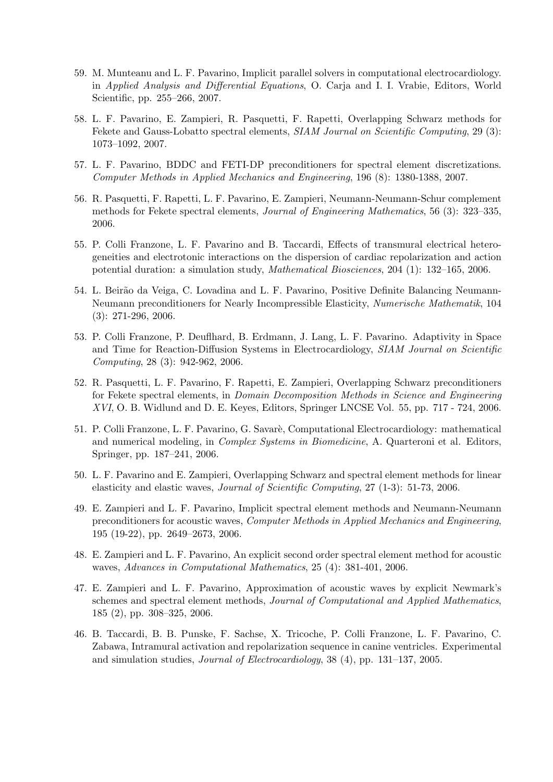- 59. M. Munteanu and L. F. Pavarino, Implicit parallel solvers in computational electrocardiology. in Applied Analysis and Differential Equations, O. Carja and I. I. Vrabie, Editors, World Scientific, pp. 255–266, 2007.
- 58. L. F. Pavarino, E. Zampieri, R. Pasquetti, F. Rapetti, Overlapping Schwarz methods for Fekete and Gauss-Lobatto spectral elements, SIAM Journal on Scientific Computing, 29 (3): 1073–1092, 2007.
- 57. L. F. Pavarino, BDDC and FETI-DP preconditioners for spectral element discretizations. Computer Methods in Applied Mechanics and Engineering, 196 (8): 1380-1388, 2007.
- 56. R. Pasquetti, F. Rapetti, L. F. Pavarino, E. Zampieri, Neumann-Neumann-Schur complement methods for Fekete spectral elements, Journal of Engineering Mathematics, 56 (3): 323–335, 2006.
- 55. P. Colli Franzone, L. F. Pavarino and B. Taccardi, Effects of transmural electrical heterogeneities and electrotonic interactions on the dispersion of cardiac repolarization and action potential duration: a simulation study, Mathematical Biosciences, 204 (1): 132–165, 2006.
- 54. L. Beirão da Veiga, C. Lovadina and L. F. Pavarino, Positive Definite Balancing Neumann-Neumann preconditioners for Nearly Incompressible Elasticity, Numerische Mathematik, 104 (3): 271-296, 2006.
- 53. P. Colli Franzone, P. Deuflhard, B. Erdmann, J. Lang, L. F. Pavarino. Adaptivity in Space and Time for Reaction-Diffusion Systems in Electrocardiology, SIAM Journal on Scientific Computing, 28 (3): 942-962, 2006.
- 52. R. Pasquetti, L. F. Pavarino, F. Rapetti, E. Zampieri, Overlapping Schwarz preconditioners for Fekete spectral elements, in Domain Decomposition Methods in Science and Engineering XVI, O. B. Widlund and D. E. Keyes, Editors, Springer LNCSE Vol. 55, pp. 717 - 724, 2006.
- 51. P. Colli Franzone, L. F. Pavarino, G. Savarè, Computational Electrocardiology: mathematical and numerical modeling, in Complex Systems in Biomedicine, A. Quarteroni et al. Editors, Springer, pp. 187–241, 2006.
- 50. L. F. Pavarino and E. Zampieri, Overlapping Schwarz and spectral element methods for linear elasticity and elastic waves, Journal of Scientific Computing, 27 (1-3): 51-73, 2006.
- 49. E. Zampieri and L. F. Pavarino, Implicit spectral element methods and Neumann-Neumann preconditioners for acoustic waves, Computer Methods in Applied Mechanics and Engineering, 195 (19-22), pp. 2649–2673, 2006.
- 48. E. Zampieri and L. F. Pavarino, An explicit second order spectral element method for acoustic waves, Advances in Computational Mathematics, 25 (4): 381-401, 2006.
- 47. E. Zampieri and L. F. Pavarino, Approximation of acoustic waves by explicit Newmark's schemes and spectral element methods, Journal of Computational and Applied Mathematics, 185 (2), pp. 308–325, 2006.
- 46. B. Taccardi, B. B. Punske, F. Sachse, X. Tricoche, P. Colli Franzone, L. F. Pavarino, C. Zabawa, Intramural activation and repolarization sequence in canine ventricles. Experimental and simulation studies, Journal of Electrocardiology, 38 (4), pp. 131–137, 2005.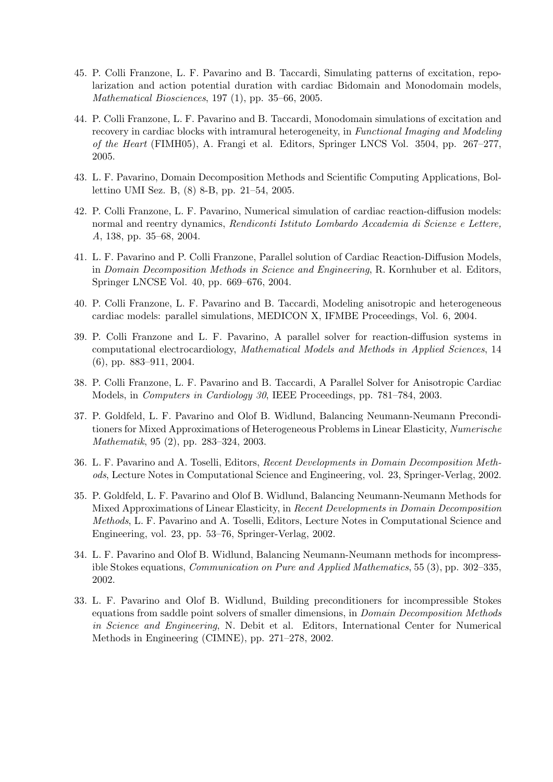- 45. P. Colli Franzone, L. F. Pavarino and B. Taccardi, Simulating patterns of excitation, repolarization and action potential duration with cardiac Bidomain and Monodomain models, Mathematical Biosciences, 197 (1), pp. 35–66, 2005.
- 44. P. Colli Franzone, L. F. Pavarino and B. Taccardi, Monodomain simulations of excitation and recovery in cardiac blocks with intramural heterogeneity, in Functional Imaging and Modeling of the Heart (FIMH05), A. Frangi et al. Editors, Springer LNCS Vol. 3504, pp. 267–277, 2005.
- 43. L. F. Pavarino, Domain Decomposition Methods and Scientific Computing Applications, Bollettino UMI Sez. B, (8) 8-B, pp. 21–54, 2005.
- 42. P. Colli Franzone, L. F. Pavarino, Numerical simulation of cardiac reaction-diffusion models: normal and reentry dynamics, Rendiconti Istituto Lombardo Accademia di Scienze e Lettere, A, 138, pp. 35–68, 2004.
- 41. L. F. Pavarino and P. Colli Franzone, Parallel solution of Cardiac Reaction-Diffusion Models, in Domain Decomposition Methods in Science and Engineering, R. Kornhuber et al. Editors, Springer LNCSE Vol. 40, pp. 669–676, 2004.
- 40. P. Colli Franzone, L. F. Pavarino and B. Taccardi, Modeling anisotropic and heterogeneous cardiac models: parallel simulations, MEDICON X, IFMBE Proceedings, Vol. 6, 2004.
- 39. P. Colli Franzone and L. F. Pavarino, A parallel solver for reaction-diffusion systems in computational electrocardiology, Mathematical Models and Methods in Applied Sciences, 14 (6), pp. 883–911, 2004.
- 38. P. Colli Franzone, L. F. Pavarino and B. Taccardi, A Parallel Solver for Anisotropic Cardiac Models, in Computers in Cardiology 30, IEEE Proceedings, pp. 781–784, 2003.
- 37. P. Goldfeld, L. F. Pavarino and Olof B. Widlund, Balancing Neumann-Neumann Preconditioners for Mixed Approximations of Heterogeneous Problems in Linear Elasticity, Numerische Mathematik, 95 (2), pp. 283–324, 2003.
- 36. L. F. Pavarino and A. Toselli, Editors, Recent Developments in Domain Decomposition Methods, Lecture Notes in Computational Science and Engineering, vol. 23, Springer-Verlag, 2002.
- 35. P. Goldfeld, L. F. Pavarino and Olof B. Widlund, Balancing Neumann-Neumann Methods for Mixed Approximations of Linear Elasticity, in Recent Developments in Domain Decomposition Methods, L. F. Pavarino and A. Toselli, Editors, Lecture Notes in Computational Science and Engineering, vol. 23, pp. 53–76, Springer-Verlag, 2002.
- 34. L. F. Pavarino and Olof B. Widlund, Balancing Neumann-Neumann methods for incompressible Stokes equations, Communication on Pure and Applied Mathematics, 55 (3), pp. 302–335, 2002.
- 33. L. F. Pavarino and Olof B. Widlund, Building preconditioners for incompressible Stokes equations from saddle point solvers of smaller dimensions, in Domain Decomposition Methods in Science and Engineering, N. Debit et al. Editors, International Center for Numerical Methods in Engineering (CIMNE), pp. 271–278, 2002.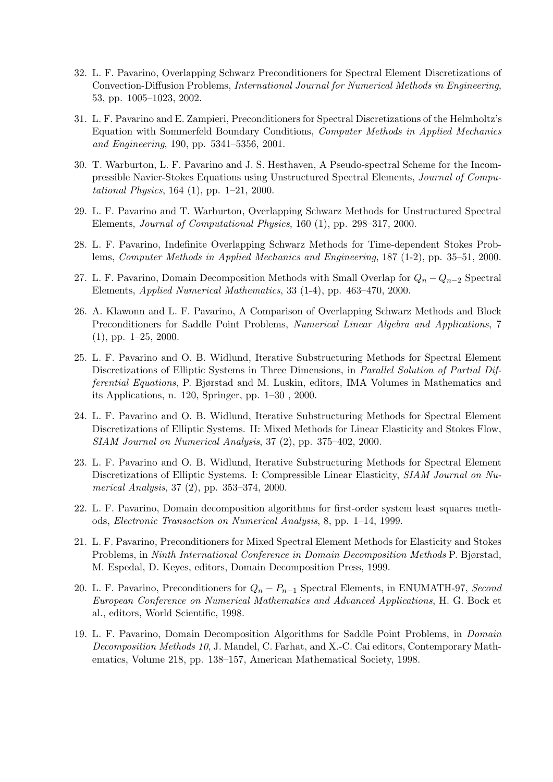- 32. L. F. Pavarino, Overlapping Schwarz Preconditioners for Spectral Element Discretizations of Convection-Diffusion Problems, International Journal for Numerical Methods in Engineering, 53, pp. 1005–1023, 2002.
- 31. L. F. Pavarino and E. Zampieri, Preconditioners for Spectral Discretizations of the Helmholtz's Equation with Sommerfeld Boundary Conditions, Computer Methods in Applied Mechanics and Engineering, 190, pp. 5341–5356, 2001.
- 30. T. Warburton, L. F. Pavarino and J. S. Hesthaven, A Pseudo-spectral Scheme for the Incompressible Navier-Stokes Equations using Unstructured Spectral Elements, Journal of Computational Physics, 164 (1), pp. 1–21, 2000.
- 29. L. F. Pavarino and T. Warburton, Overlapping Schwarz Methods for Unstructured Spectral Elements, Journal of Computational Physics, 160 (1), pp. 298–317, 2000.
- 28. L. F. Pavarino, Indefinite Overlapping Schwarz Methods for Time-dependent Stokes Problems, Computer Methods in Applied Mechanics and Engineering, 187 (1-2), pp. 35–51, 2000.
- 27. L. F. Pavarino, Domain Decomposition Methods with Small Overlap for  $Q_n Q_{n-2}$  Spectral Elements, Applied Numerical Mathematics, 33 (1-4), pp. 463–470, 2000.
- 26. A. Klawonn and L. F. Pavarino, A Comparison of Overlapping Schwarz Methods and Block Preconditioners for Saddle Point Problems, Numerical Linear Algebra and Applications, 7 (1), pp. 1–25, 2000.
- 25. L. F. Pavarino and O. B. Widlund, Iterative Substructuring Methods for Spectral Element Discretizations of Elliptic Systems in Three Dimensions, in Parallel Solution of Partial Differential Equations, P. Bjørstad and M. Luskin, editors, IMA Volumes in Mathematics and its Applications, n. 120, Springer, pp. 1–30 , 2000.
- 24. L. F. Pavarino and O. B. Widlund, Iterative Substructuring Methods for Spectral Element Discretizations of Elliptic Systems. II: Mixed Methods for Linear Elasticity and Stokes Flow, SIAM Journal on Numerical Analysis, 37 (2), pp. 375–402, 2000.
- 23. L. F. Pavarino and O. B. Widlund, Iterative Substructuring Methods for Spectral Element Discretizations of Elliptic Systems. I: Compressible Linear Elasticity, SIAM Journal on Numerical Analysis, 37 (2), pp. 353–374, 2000.
- 22. L. F. Pavarino, Domain decomposition algorithms for first-order system least squares methods, Electronic Transaction on Numerical Analysis, 8, pp. 1–14, 1999.
- 21. L. F. Pavarino, Preconditioners for Mixed Spectral Element Methods for Elasticity and Stokes Problems, in Ninth International Conference in Domain Decomposition Methods P. Bjørstad, M. Espedal, D. Keyes, editors, Domain Decomposition Press, 1999.
- 20. L. F. Pavarino, Preconditioners for  $Q_n P_{n-1}$  Spectral Elements, in ENUMATH-97, Second European Conference on Numerical Mathematics and Advanced Applications, H. G. Bock et al., editors, World Scientific, 1998.
- 19. L. F. Pavarino, Domain Decomposition Algorithms for Saddle Point Problems, in Domain Decomposition Methods 10, J. Mandel, C. Farhat, and X.-C. Cai editors, Contemporary Mathematics, Volume 218, pp. 138–157, American Mathematical Society, 1998.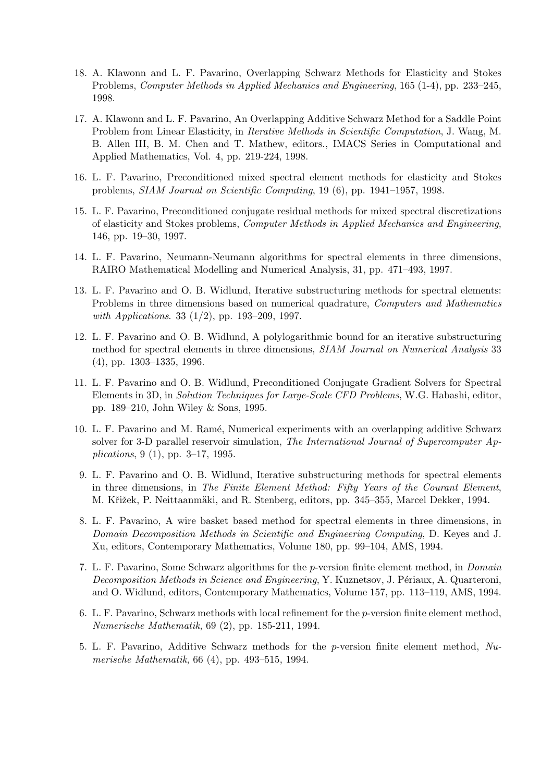- 18. A. Klawonn and L. F. Pavarino, Overlapping Schwarz Methods for Elasticity and Stokes Problems, Computer Methods in Applied Mechanics and Engineering, 165 (1-4), pp. 233–245, 1998.
- 17. A. Klawonn and L. F. Pavarino, An Overlapping Additive Schwarz Method for a Saddle Point Problem from Linear Elasticity, in Iterative Methods in Scientific Computation, J. Wang, M. B. Allen III, B. M. Chen and T. Mathew, editors., IMACS Series in Computational and Applied Mathematics, Vol. 4, pp. 219-224, 1998.
- 16. L. F. Pavarino, Preconditioned mixed spectral element methods for elasticity and Stokes problems, SIAM Journal on Scientific Computing, 19 (6), pp. 1941–1957, 1998.
- 15. L. F. Pavarino, Preconditioned conjugate residual methods for mixed spectral discretizations of elasticity and Stokes problems, Computer Methods in Applied Mechanics and Engineering, 146, pp. 19–30, 1997.
- 14. L. F. Pavarino, Neumann-Neumann algorithms for spectral elements in three dimensions, RAIRO Mathematical Modelling and Numerical Analysis, 31, pp. 471–493, 1997.
- 13. L. F. Pavarino and O. B. Widlund, Iterative substructuring methods for spectral elements: Problems in three dimensions based on numerical quadrature, Computers and Mathematics with Applications. 33 (1/2), pp. 193–209, 1997.
- 12. L. F. Pavarino and O. B. Widlund, A polylogarithmic bound for an iterative substructuring method for spectral elements in three dimensions, SIAM Journal on Numerical Analysis 33 (4), pp. 1303–1335, 1996.
- 11. L. F. Pavarino and O. B. Widlund, Preconditioned Conjugate Gradient Solvers for Spectral Elements in 3D, in Solution Techniques for Large-Scale CFD Problems, W.G. Habashi, editor, pp. 189–210, John Wiley & Sons, 1995.
- 10. L. F. Pavarino and M. Ram´e, Numerical experiments with an overlapping additive Schwarz solver for 3-D parallel reservoir simulation, The International Journal of Supercomputer Applications, 9 (1), pp. 3–17, 1995.
- 9. L. F. Pavarino and O. B. Widlund, Iterative substructuring methods for spectral elements in three dimensions, in The Finite Element Method: Fifty Years of the Courant Element, M. Křižek, P. Neittaanmäki, and R. Stenberg, editors, pp. 345–355, Marcel Dekker, 1994.
- 8. L. F. Pavarino, A wire basket based method for spectral elements in three dimensions, in Domain Decomposition Methods in Scientific and Engineering Computing, D. Keyes and J. Xu, editors, Contemporary Mathematics, Volume 180, pp. 99–104, AMS, 1994.
- 7. L. F. Pavarino, Some Schwarz algorithms for the p-version finite element method, in Domain Decomposition Methods in Science and Engineering, Y. Kuznetsov, J. Périaux, A. Quarteroni, and O. Widlund, editors, Contemporary Mathematics, Volume 157, pp. 113–119, AMS, 1994.
- 6. L. F. Pavarino, Schwarz methods with local refinement for the p-version finite element method, Numerische Mathematik, 69 (2), pp. 185-211, 1994.
- 5. L. F. Pavarino, Additive Schwarz methods for the p-version finite element method,  $Nu$ merische Mathematik, 66 (4), pp. 493–515, 1994.